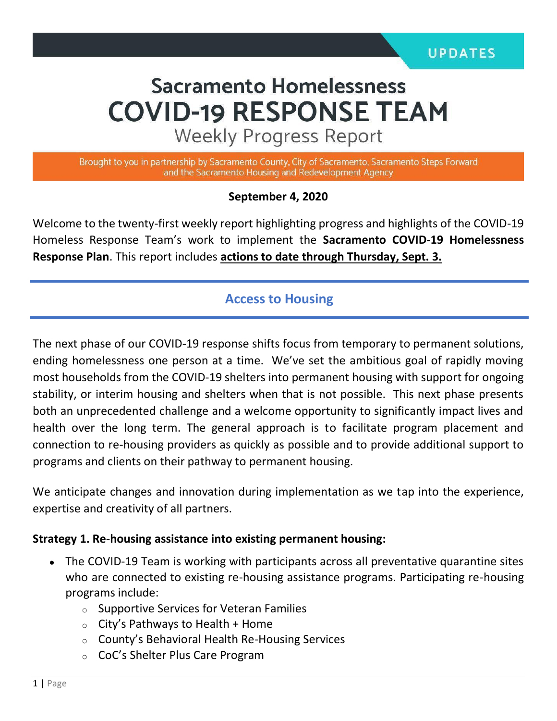# **Sacramento Homelessness COVID-19 RESPONSE TEAM**

**Weekly Progress Report** 

Brought to you in partnership by Sacramento County, City of Sacramento, Sacramento Steps Forward and the Sacramento Housing and Redevelopment Agency

#### **September 4, 2020**

Welcome to the twenty-first weekly report highlighting progress and highlights of the COVID-19 Homeless Response Team's work to implement the **Sacramento COVID-19 Homelessness Response Plan**. This report includes **actions to date through Thursday, Sept. 3.** 

## **Access to Housing**

The next phase of our COVID-19 response shifts focus from temporary to permanent solutions, ending homelessness one person at a time. We've set the ambitious goal of rapidly moving most households from the COVID-19 shelters into permanent housing with support for ongoing stability, or interim housing and shelters when that is not possible. This next phase presents both an unprecedented challenge and a welcome opportunity to significantly impact lives and health over the long term. The general approach is to facilitate program placement and connection to re-housing providers as quickly as possible and to provide additional support to programs and clients on their pathway to permanent housing.

We anticipate changes and innovation during implementation as we tap into the experience, expertise and creativity of all partners.

#### **Strategy 1. Re-housing assistance into existing permanent housing:**

- The COVID-19 Team is working with participants across all preventative quarantine sites who are connected to existing re-housing assistance programs. Participating re-housing programs include:
	- o Supportive Services for Veteran Families
	- $\circ$  City's Pathways to Health + Home
	- o County's Behavioral Health Re-Housing Services
	- o CoC's Shelter Plus Care Program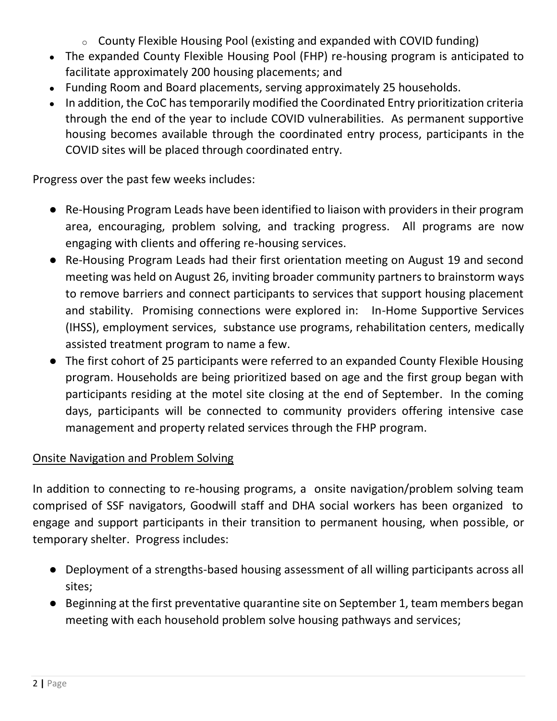- $\circ$  County Flexible Housing Pool (existing and expanded with COVID funding)
- The expanded County Flexible Housing Pool (FHP) re-housing program is anticipated to facilitate approximately 200 housing placements; and
- Funding Room and Board placements, serving approximately 25 households.
- In addition, the CoC has temporarily modified the Coordinated Entry prioritization criteria through the end of the year to include COVID vulnerabilities. As permanent supportive housing becomes available through the coordinated entry process, participants in the COVID sites will be placed through coordinated entry.

Progress over the past few weeks includes:

- Re-Housing Program Leads have been identified to liaison with providers in their program area, encouraging, problem solving, and tracking progress. All programs are now engaging with clients and offering re-housing services.
- Re-Housing Program Leads had their first orientation meeting on August 19 and second meeting was held on August 26, inviting broader community partners to brainstorm ways to remove barriers and connect participants to services that support housing placement and stability. Promising connections were explored in: In-Home Supportive Services (IHSS), employment services, substance use programs, rehabilitation centers, medically assisted treatment program to name a few.
- The first cohort of 25 participants were referred to an expanded County Flexible Housing program. Households are being prioritized based on age and the first group began with participants residing at the motel site closing at the end of September. In the coming days, participants will be connected to community providers offering intensive case management and property related services through the FHP program.

## Onsite Navigation and Problem Solving

In addition to connecting to re-housing programs, a onsite navigation/problem solving team comprised of SSF navigators, Goodwill staff and DHA social workers has been organized to engage and support participants in their transition to permanent housing, when possible, or temporary shelter. Progress includes:

- Deployment of a strengths-based housing assessment of all willing participants across all sites;
- Beginning at the first preventative quarantine site on September 1, team members began meeting with each household problem solve housing pathways and services;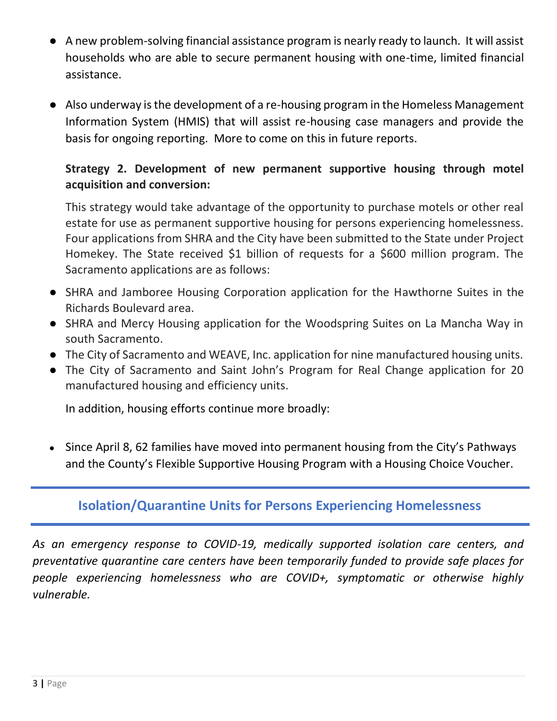- A new problem-solving financial assistance program is nearly ready to launch. It will assist households who are able to secure permanent housing with one-time, limited financial assistance.
- Also underway is the development of a re-housing program in the Homeless Management Information System (HMIS) that will assist re-housing case managers and provide the basis for ongoing reporting. More to come on this in future reports.

## **Strategy 2. Development of new permanent supportive housing through motel acquisition and conversion:**

This strategy would take advantage of the opportunity to purchase motels or other real estate for use as permanent supportive housing for persons experiencing homelessness. Four applications from SHRA and the City have been submitted to the State under Project Homekey. The State received \$1 billion of requests for a \$600 million program. The Sacramento applications are as follows:

- SHRA and Jamboree Housing Corporation application for the Hawthorne Suites in the Richards Boulevard area.
- SHRA and Mercy Housing application for the Woodspring Suites on La Mancha Way in south Sacramento.
- The City of Sacramento and WEAVE, Inc. application for nine manufactured housing units.
- The City of Sacramento and Saint John's Program for Real Change application for 20 manufactured housing and efficiency units.

In addition, housing efforts continue more broadly:

• Since April 8, 62 families have moved into permanent housing from the City's Pathways and the County's Flexible Supportive Housing Program with a Housing Choice Voucher.

## **Isolation/Quarantine Units for Persons Experiencing Homelessness**

*As an emergency response to COVID-19, medically supported isolation care centers, and preventative quarantine care centers have been temporarily funded to provide safe places for people experiencing homelessness who are COVID+, symptomatic or otherwise highly vulnerable.*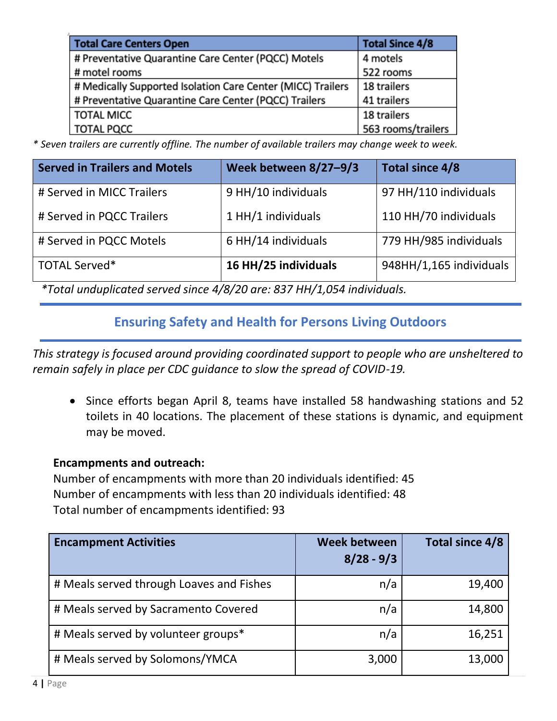| <b>Total Care Centers Open</b>                              | <b>Total Since 4/8</b> |
|-------------------------------------------------------------|------------------------|
| # Preventative Quarantine Care Center (PQCC) Motels         | 4 motels               |
| # motel rooms                                               | 522 rooms              |
| # Medically Supported Isolation Care Center (MICC) Trailers | 18 trailers            |
| # Preventative Quarantine Care Center (PQCC) Trailers       | 41 trailers            |
| <b>TOTAL MICC</b>                                           | 18 trailers            |
| <b>TOTAL PQCC</b>                                           | 563 rooms/trailers     |

*\* Seven trailers are currently offline. The number of available trailers may change week to week.*

| <b>Served in Trailers and Motels</b>                                                                                                                                                                                                                                                                                                        | Week between 8/27-9/3 | Total since 4/8         |  |  |  |
|---------------------------------------------------------------------------------------------------------------------------------------------------------------------------------------------------------------------------------------------------------------------------------------------------------------------------------------------|-----------------------|-------------------------|--|--|--|
| # Served in MICC Trailers                                                                                                                                                                                                                                                                                                                   | 9 HH/10 individuals   | 97 HH/110 individuals   |  |  |  |
| # Served in PQCC Trailers                                                                                                                                                                                                                                                                                                                   | 1 HH/1 individuals    | 110 HH/70 individuals   |  |  |  |
| # Served in PQCC Motels                                                                                                                                                                                                                                                                                                                     | 6 HH/14 individuals   | 779 HH/985 individuals  |  |  |  |
| <b>TOTAL Served*</b>                                                                                                                                                                                                                                                                                                                        | 16 HH/25 individuals  | 948HH/1,165 individuals |  |  |  |
| $*$ $\tau$ , $\tau$ , $\tau$ , $\tau$ , $\tau$ , $\tau$ , $\tau$ , $\tau$ , $\tau$ , $\tau$ , $\tau$ , $\tau$ , $\tau$ , $\tau$ , $\tau$ , $\tau$ , $\tau$ , $\tau$ , $\tau$ , $\tau$ , $\tau$ , $\tau$ , $\tau$ , $\tau$ , $\tau$ , $\tau$ , $\tau$ , $\tau$ , $\tau$ , $\tau$ , $\tau$ , $\tau$ , $\tau$ , $\tau$ , $\tau$ , $\tau$ , $\$ |                       |                         |  |  |  |

*\*Total unduplicated served since 4/8/20 are: 837 HH/1,054 individuals.* 

# **Ensuring Safety and Health for Persons Living Outdoors**

*This strategy is focused around providing coordinated support to people who are unsheltered to remain safely in place per CDC guidance to slow the spread of COVID-19.*

• Since efforts began April 8, teams have installed 58 handwashing stations and 52 toilets in 40 locations. The placement of these stations is dynamic, and equipment may be moved.

#### **Encampments and outreach:**

Number of encampments with more than 20 individuals identified: 45 Number of encampments with less than 20 individuals identified: 48 Total number of encampments identified: 93

| <b>Encampment Activities</b>             | <b>Week between</b><br>$8/28 - 9/3$ | Total since 4/8 |
|------------------------------------------|-------------------------------------|-----------------|
| # Meals served through Loaves and Fishes | n/a                                 | 19,400          |
| # Meals served by Sacramento Covered     | n/a                                 | 14,800          |
| # Meals served by volunteer groups*      | n/a                                 | 16,251          |
| # Meals served by Solomons/YMCA          | 3,000                               | 13,000          |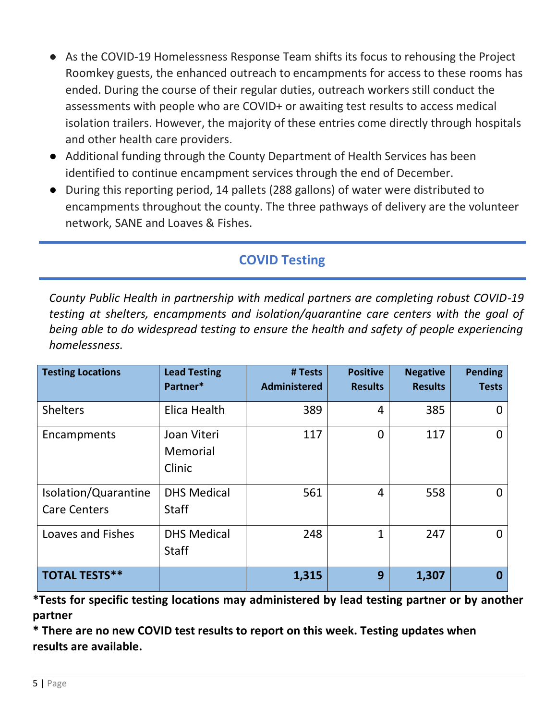- As the COVID-19 Homelessness Response Team shifts its focus to rehousing the Project Roomkey guests, the enhanced outreach to encampments for access to these rooms has ended. During the course of their regular duties, outreach workers still conduct the assessments with people who are COVID+ or awaiting test results to access medical isolation trailers. However, the majority of these entries come directly through hospitals and other health care providers.
- Additional funding through the County Department of Health Services has been identified to continue encampment services through the end of December.
- During this reporting period, 14 pallets (288 gallons) of water were distributed to encampments throughout the county. The three pathways of delivery are the volunteer network, SANE and Loaves & Fishes.

# **COVID Testing**

*County Public Health in partnership with medical partners are completing robust COVID-19 testing at shelters, encampments and isolation/quarantine care centers with the goal of being able to do widespread testing to ensure the health and safety of people experiencing homelessness.*

| <b>Testing Locations</b>                    | <b>Lead Testing</b><br>Partner*    | # Tests<br><b>Administered</b> | <b>Positive</b><br><b>Results</b> | <b>Negative</b><br><b>Results</b> | <b>Pending</b><br><b>Tests</b> |
|---------------------------------------------|------------------------------------|--------------------------------|-----------------------------------|-----------------------------------|--------------------------------|
| <b>Shelters</b>                             | Elica Health                       | 389                            | 4                                 | 385                               |                                |
| Encampments                                 | Joan Viteri<br>Memorial<br>Clinic  | 117                            | 0                                 | 117                               | O                              |
| Isolation/Quarantine<br><b>Care Centers</b> | <b>DHS Medical</b><br><b>Staff</b> | 561                            | 4                                 | 558                               | O                              |
| <b>Loaves and Fishes</b>                    | <b>DHS Medical</b><br><b>Staff</b> | 248                            | $\mathbf{1}$                      | 247                               | U                              |
| <b>TOTAL TESTS**</b>                        |                                    | 1,315                          | 9                                 | 1,307                             |                                |

**\*Tests for specific testing locations may administered by lead testing partner or by another partner**

**\* There are no new COVID test results to report on this week. Testing updates when results are available.**